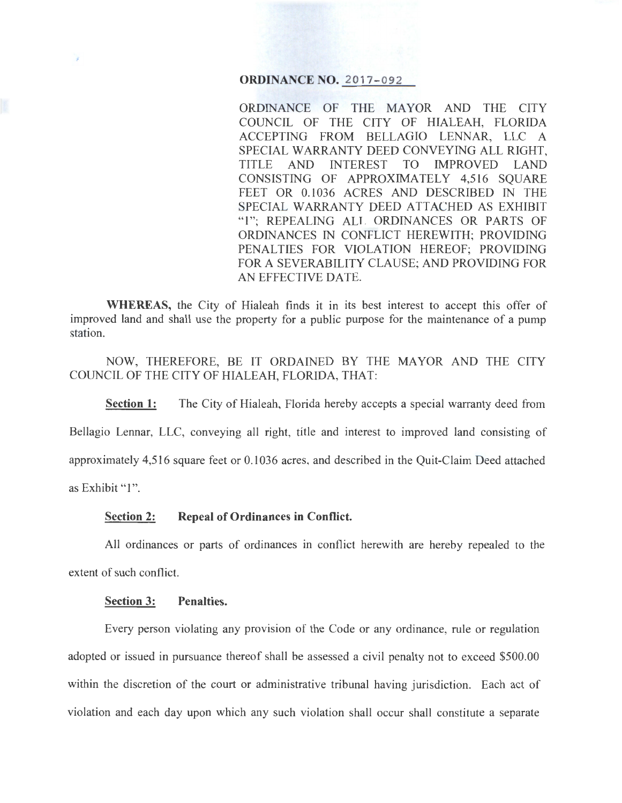## **ORDINANCE NO. 2017-092**

ORDINANCE OF THE MAYOR AND THE CITY COUNCIL OF THE CITY OF HIALEAH, FLORIDA ACCEPTING FROM BELLAGIO LENNAR, LLC A SPECIAL WARRANTY DEED CONVEYING ALL RIGHT, TITLE AND INTEREST TO IMPROVED LAND CONSISTING OF APPROXIMATELY 4,516 SQUARE FEET OR 0.1036 ACRES AND DESCRIBED IN THE SPECIAL WARRANTY DEED ATTACHED AS EXHIBIT "1"; REPEALING ALL ORDINANCES OR PARTS OF ORDINANCES IN CONFLICT HEREWITH; PROVIDING PENALTIES FOR VIOLATION HEREOF; PROVIDING FOR A SEVERABILITY CLAUSE; AND PROVIDING FOR AN EFFECTIVE DATE.

**WHEREAS,** the City of Hialeah finds it in its best interest to accept this offer of improved land and shall use the property for a public purpose for the maintenance of a pump station.

NOW, THEREFORE, BE IT ORDAINED BY THE MAYOR AND THE CITY COUNCIL OF THE CITY OF HIALEAH, FLORIDA, THAT:

**Section 1:** The City of Hialeah, Florida hereby accepts a special warranty deed from Bellagio Lennar, LLC, conveying all right, title and interest to improved land consisting of approximately 4,516 square feet or 0.1036 acres, and described in the Quit-Claim Deed attached as Exhibit "1".

### **Section 2: Repeal of Ordinances in Conflict.**

All ordinances or parts of ordinances in conflict herewith are hereby repealed to the extent of such conflict.

#### **Section 3: Penalties.**

Every person violating any provision of the Code or any ordinance, rule or regulation adopted or issued in pursuance thereof shall be assessed a civil penalty not to exceed \$500.00 within the discretion of the court or administrative tribunal having jurisdiction. Each act of violation and each day upon which any such violation shall occur shall constitute a separate